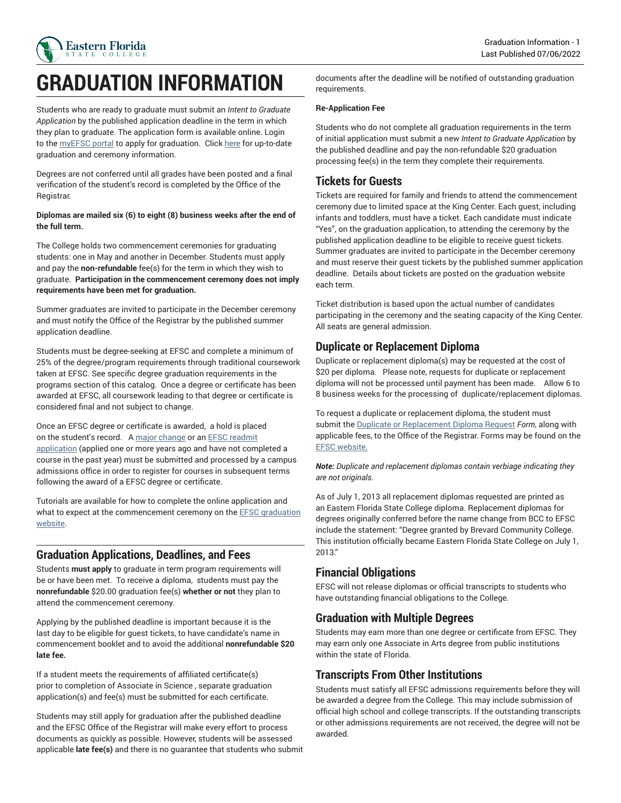

# **GRADUATION INFORMATION**

Students who are ready to graduate must submit an *Intent to Graduate Application* by the published application deadline in the term in which they plan to graduate. The application form is available online. Login to the [myEFSC](https://my.easternflorida.edu/content/main.cfm) portal to apply for graduation. Click [here](https://www.easternflorida.edu/admissions/registrars-office/graduation/) for up-to-date graduation and ceremony information.

Degrees are not conferred until all grades have been posted and a final verification of the student's record is completed by the Office of the Registrar.

#### **Diplomas are mailed six (6) to eight (8) business weeks after the end of the full term.**

The College holds two commencement ceremonies for graduating students: one in May and another in December. Students must apply and pay the **non-refundable** fee(s) for the term in which they wish to graduate. **Participation in the commencement ceremony does not imply requirements have been met for graduation.**

Summer graduates are invited to participate in the December ceremony and must notify the Office of the Registrar by the published summer application deadline.

Students must be degree-seeking at EFSC and complete a minimum of 25% of the degree/program requirements through traditional coursework taken at EFSC. See specific degree graduation requirements in the programs section of this catalog. Once a degree or certificate has been awarded at EFSC, all coursework leading to that degree or certificate is considered final and not subject to change.

Once an EFSC degree or certificate is awarded, a hold is placed on the student's record. A [major change](https://www.easternflorida.edu/admissions/documents/major-code-change.pdf) or an EFSC [readmit](https://easternflorida.force.com/ApplicationPortal/ERx_Forms__Portal_Login/) [application](https://easternflorida.force.com/ApplicationPortal/ERx_Forms__Portal_Login/) (applied one or more years ago and have not completed a course in the past year) must be submitted and processed by a campus admissions office in order to register for courses in subsequent terms following the award of a EFSC degree or certificate.

Tutorials are available for how to complete the online application and what to expect at the commencement ceremony on the **EFSC** graduation [website.](https://www.easternflorida.edu/admissions/registrars-office/graduation/)

#### **Graduation Applications, Deadlines, and Fees**

Students **must apply** to graduate in term program requirements will be or have been met. To receive a diploma, students must pay the **nonrefundable** \$20.00 graduation fee(s) **whether or not** they plan to attend the commencement ceremony.

Applying by the published deadline is important because it is the last day to be eligible for guest tickets, to have candidate's name in commencement booklet and to avoid the additional **nonrefundable \$20 late fee.**

If a student meets the requirements of affiliated certificate(s) prior to completion of Associate in Science , separate graduation application(s) and fee(s) must be submitted for each certificate.

Students may still apply for graduation after the published deadline and the EFSC Office of the Registrar will make every effort to process documents as quickly as possible. However, students will be assessed applicable **late fee(s)** and there is no guarantee that students who submit

documents after the deadline will be notified of outstanding graduation requirements.

#### **Re-Application Fee**

Students who do not complete all graduation requirements in the term of initial application must submit a new *Intent to Graduate Application* by the published deadline and pay the non-refundable \$20 graduation processing fee(s) in the term they complete their requirements.

#### **Tickets for Guests**

Tickets are required for family and friends to attend the commencement ceremony due to limited space at the King Center. Each guest, including infants and toddlers, must have a ticket. Each candidate must indicate "Yes", on the graduation application, to attending the ceremony by the published application deadline to be eligible to receive guest tickets. Summer graduates are invited to participate in the December ceremony and must reserve their guest tickets by the published summer application deadline. Details about tickets are posted on the graduation website each term.

Ticket distribution is based upon the actual number of candidates participating in the ceremony and the seating capacity of the King Center. All seats are general admission.

## **Duplicate or Replacement Diploma**

Duplicate or replacement diploma(s) may be requested at the cost of \$20 per diploma. Please note, requests for duplicate or replacement diploma will not be processed until payment has been made. Allow 6 to 8 business weeks for the processing of duplicate/replacement diplomas.

To request a duplicate or replacement diploma, the student must submit the [Duplicate or Replacement Diploma Request](https://www.easternflorida.edu/admissions/documents/graduation-duplicate-diploma.pdf) *Form*, along with applicable fees, to the Office of the Registrar. Forms may be found on the [EFSC website.](https://www.easternflorida.edu/admissions/registrars-office/forms.cfm)

*Note: Duplicate and replacement diplomas contain verbiage indicating they are not originals.*

As of July 1, 2013 all replacement diplomas requested are printed as an Eastern Florida State College diploma. Replacement diplomas for degrees originally conferred before the name change from BCC to EFSC include the statement: "Degree granted by Brevard Community College. This institution officially became Eastern Florida State College on July 1, 2013."

#### **Financial Obligations**

EFSC will not release diplomas or official transcripts to students who have outstanding financial obligations to the College.

## **Graduation with Multiple Degrees**

Students may earn more than one degree or certificate from EFSC. They may earn only one Associate in Arts degree from public institutions within the state of Florida.

## **Transcripts From Other Institutions**

Students must satisfy all EFSC admissions requirements before they will be awarded a degree from the College. This may include submission of official high school and college transcripts. If the outstanding transcripts or other admissions requirements are not received, the degree will not be awarded.